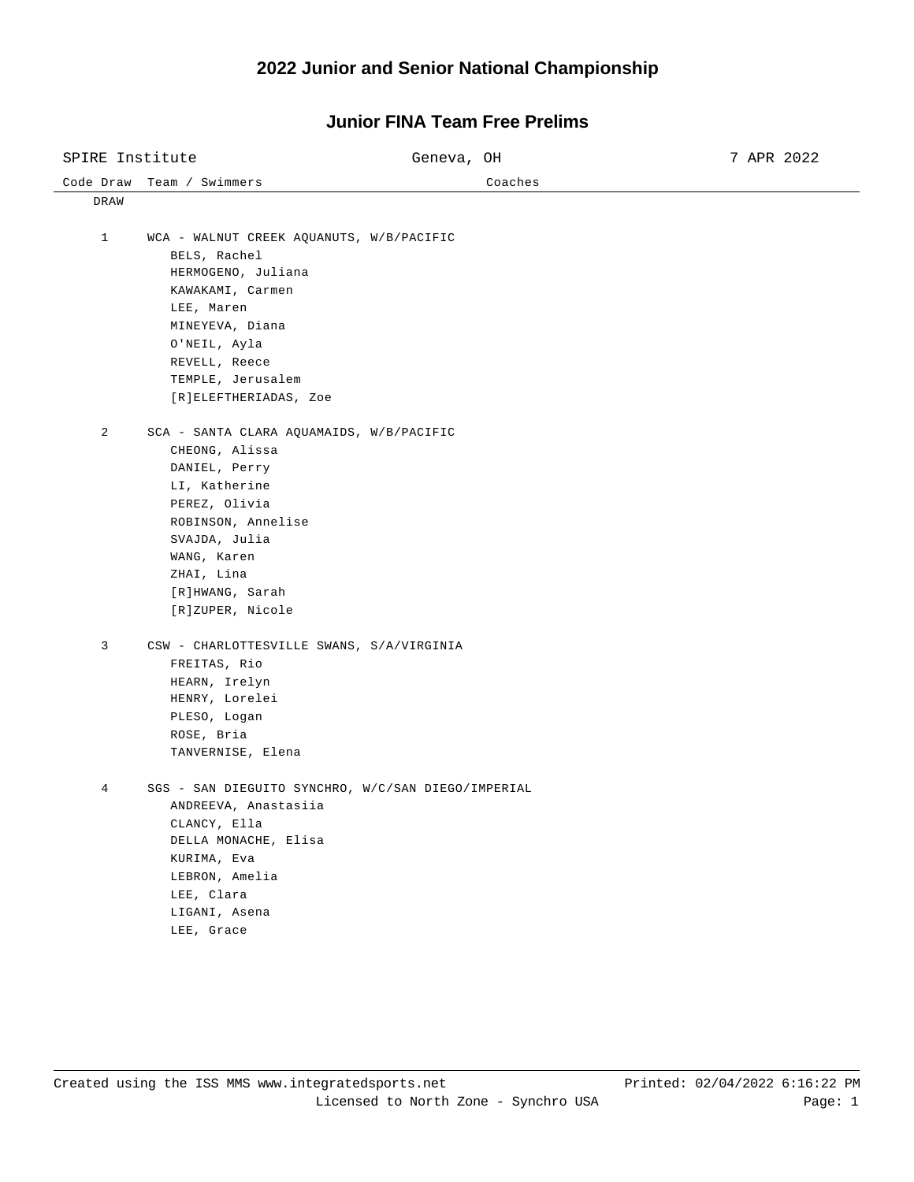| SPIRE Institute |                                                                                                                                                                                                                          | Geneva, OH |         | 7 APR 2022 |
|-----------------|--------------------------------------------------------------------------------------------------------------------------------------------------------------------------------------------------------------------------|------------|---------|------------|
|                 | Code Draw Team / Swimmers                                                                                                                                                                                                |            | Coaches |            |
| DRAW            |                                                                                                                                                                                                                          |            |         |            |
| $\mathbf{1}$    | WCA - WALNUT CREEK AQUANUTS, W/B/PACIFIC<br>BELS, Rachel<br>HERMOGENO, Juliana<br>KAWAKAMI, Carmen<br>LEE, Maren<br>MINEYEVA, Diana<br>O'NEIL, Ayla<br>REVELL, Reece<br>TEMPLE, Jerusalem<br>[R]ELEFTHERIADAS, Zoe       |            |         |            |
| 2               | SCA - SANTA CLARA AQUAMAIDS, W/B/PACIFIC<br>CHEONG, Alissa<br>DANIEL, Perry<br>LI, Katherine<br>PEREZ, Olivia<br>ROBINSON, Annelise<br>SVAJDA, Julia<br>WANG, Karen<br>ZHAI, Lina<br>[R]HWANG, Sarah<br>[R]ZUPER, Nicole |            |         |            |
| 3               | CSW - CHARLOTTESVILLE SWANS, S/A/VIRGINIA<br>FREITAS, Rio<br>HEARN, Irelyn<br>HENRY, Lorelei<br>PLESO, Logan<br>ROSE, Bria<br>TANVERNISE, Elena                                                                          |            |         |            |
| 4               | SGS - SAN DIEGUITO SYNCHRO, W/C/SAN DIEGO/IMPERIAL<br>ANDREEVA, Anastasiia<br>CLANCY, Ella<br>DELLA MONACHE, Elisa<br>KURIMA, Eva<br>LEBRON, Amelia<br>LEE, Clara<br>LIGANI, Asena<br>LEE, Grace                         |            |         |            |

## **Junior FINA Team Free Prelims**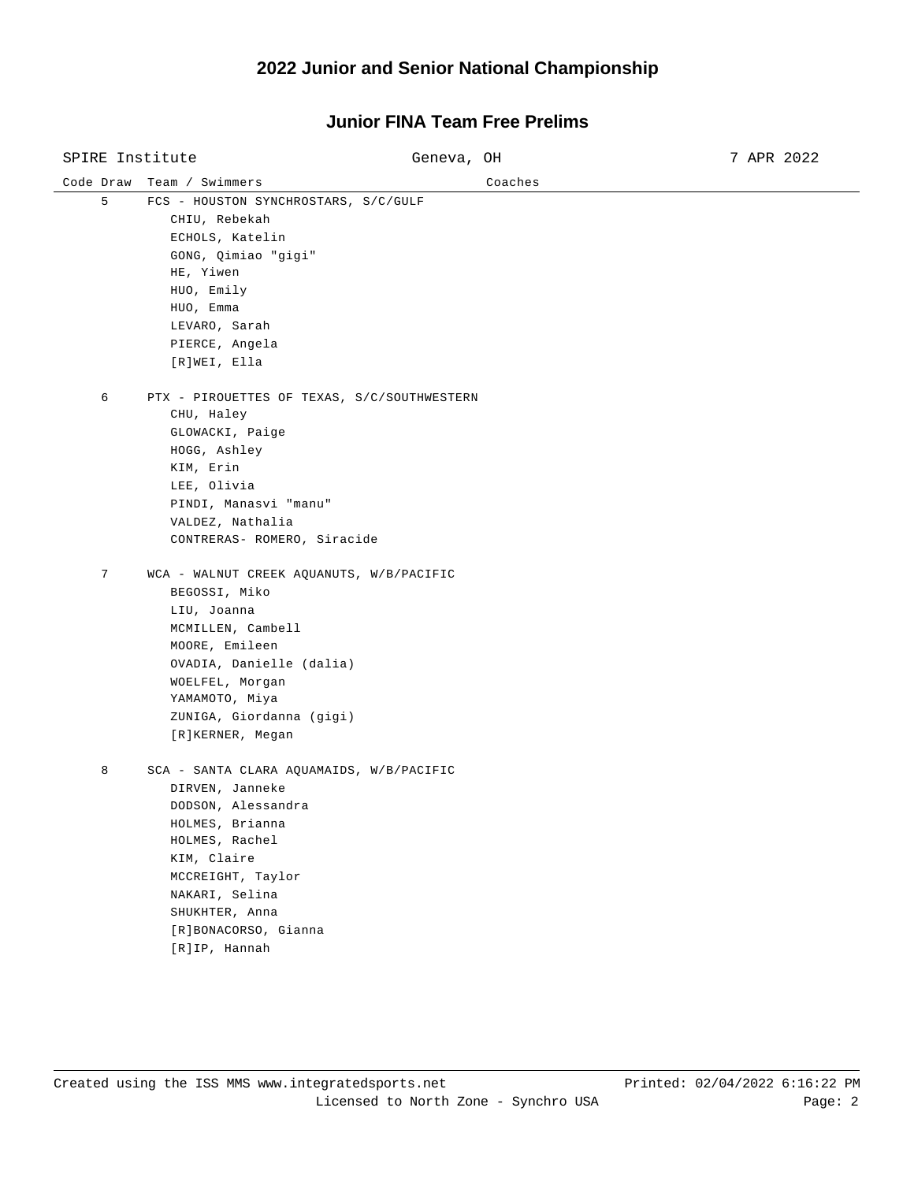| SPIRE Institute |                                                                                                                                                                                                                                         | Geneva, OH | 7 APR 2022 |
|-----------------|-----------------------------------------------------------------------------------------------------------------------------------------------------------------------------------------------------------------------------------------|------------|------------|
| Code Draw       | Team / Swimmers                                                                                                                                                                                                                         | Coaches    |            |
| 5               | FCS - HOUSTON SYNCHROSTARS, S/C/GULF<br>CHIU, Rebekah<br>ECHOLS, Katelin<br>GONG, Qimiao "gigi"<br>HE, Yiwen<br>HUO, Emily<br>HUO, Emma<br>LEVARO, Sarah<br>PIERCE, Angela<br>[R]WEI, Ella                                              |            |            |
| 6               | PTX - PIROUETTES OF TEXAS, S/C/SOUTHWESTERN<br>CHU, Haley<br>GLOWACKI, Paige<br>HOGG, Ashley<br>KIM, Erin<br>LEE, Olivia<br>PINDI, Manasvi "manu"<br>VALDEZ, Nathalia<br>CONTRERAS- ROMERO, Siracide                                    |            |            |
| 7               | WCA - WALNUT CREEK AQUANUTS, W/B/PACIFIC<br>BEGOSSI, Miko<br>LIU, Joanna<br>MCMILLEN, Cambell<br>MOORE, Emileen<br>OVADIA, Danielle (dalia)<br>WOELFEL, Morgan<br>ҮАМАМОТО, Міуа<br>ZUNIGA, Giordanna (gigi)<br>[R]KERNER, Megan        |            |            |
| 8               | SCA - SANTA CLARA AQUAMAIDS, W/B/PACIFIC<br>DIRVEN, Janneke<br>DODSON, Alessandra<br>HOLMES, Brianna<br>HOLMES, Rachel<br>KIM, Claire<br>MCCREIGHT, Taylor<br>NAKARI, Selina<br>SHUKHTER, Anna<br>[R]BONACORSO, Gianna<br>[R]IP, Hannah |            |            |

## **Junior FINA Team Free Prelims**

 $\overline{\phantom{0}}$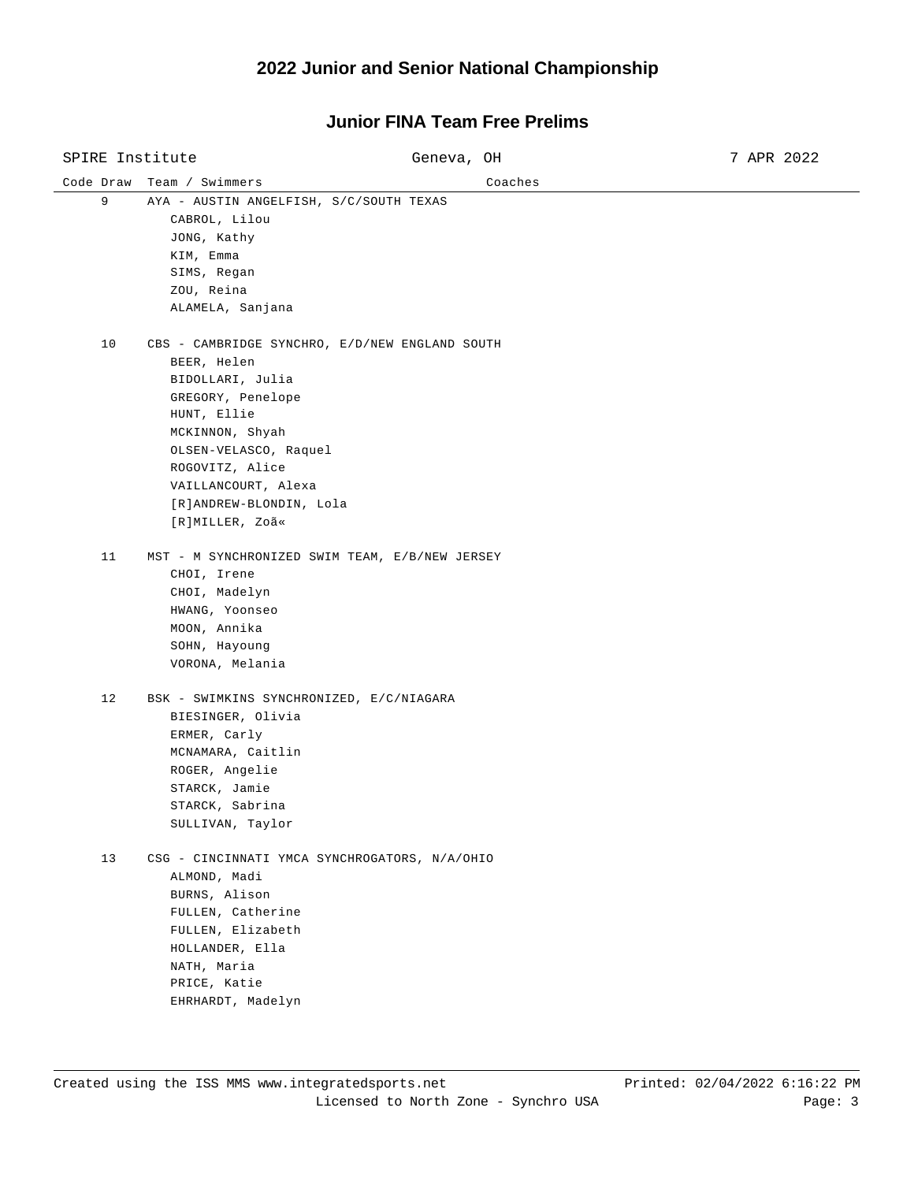#### Code Draw Team / Swimmers Coaches SPIRE Institute  $G$  Geneva, OH 3 7 APR 2022 9 AYA - AUSTIN ANGELFISH, S/C/SOUTH TEXAS CABROL, Lilou JONG, Kathy KIM, Emma SIMS, Regan ZOU, Reina ALAMELA, Sanjana 10 CBS - CAMBRIDGE SYNCHRO, E/D/NEW ENGLAND SOUTH BEER, Helen BIDOLLARI, Julia GREGORY, Penelope HUNT, Ellie MCKINNON, Shyah OLSEN-VELASCO, Raquel ROGOVITZ, Alice VAILLANCOURT, Alexa [R]ANDREW-BLONDIN, Lola [R]MILLER, Zoã« 11 MST - M SYNCHRONIZED SWIM TEAM, E/B/NEW JERSEY CHOI, Irene CHOI, Madelyn HWANG, Yoonseo MOON, Annika SOHN, Hayoung VORONA, Melania 12 BSK - SWIMKINS SYNCHRONIZED, E/C/NIAGARA BIESINGER, Olivia ERMER, Carly MCNAMARA, Caitlin ROGER, Angelie STARCK, Jamie STARCK, Sabrina SULLIVAN, Taylor 13 CSG - CINCINNATI YMCA SYNCHROGATORS, N/A/OHIO ALMOND, Madi BURNS, Alison FULLEN, Catherine FULLEN, Elizabeth HOLLANDER, Ella NATH, Maria PRICE, Katie EHRHARDT, Madelyn

### **Junior FINA Team Free Prelims**